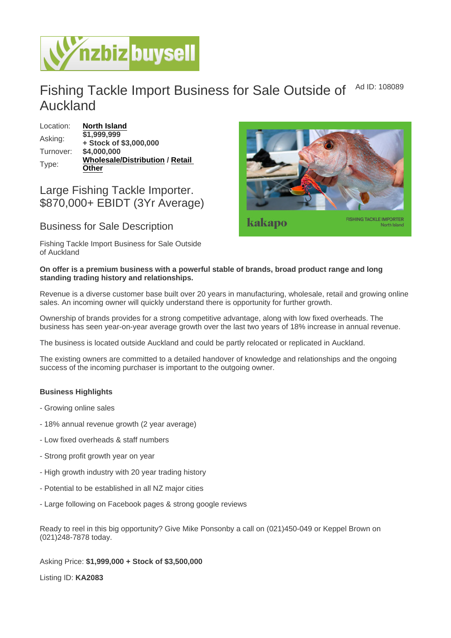## Fishing Tackle Import Business for Sale Outside of Auckland Ad ID: 108089

| Location: | North Island                  |          |
|-----------|-------------------------------|----------|
| Asking:   | \$1,999,999                   |          |
|           | + Stock of \$3,000,000        |          |
| Turnover: | \$4,000,000                   |          |
| Type:     | <b>Wholesale/Distribution</b> | / Retail |
|           | Other                         |          |

## Large Fishing Tackle Importer. \$870,000+ EBIDT (3Yr Average)

## Business for Sale Description

Fishing Tackle Import Business for Sale Outside of Auckland

On offer is a premium business with a powerful stable of brands, broad product range and long standing trading history and relationships.

Revenue is a diverse customer base built over 20 years in manufacturing, wholesale, retail and growing online sales. An incoming owner will quickly understand there is opportunity for further growth.

Ownership of brands provides for a strong competitive advantage, along with low fixed overheads. The business has seen year-on-year average growth over the last two years of 18% increase in annual revenue.

The business is located outside Auckland and could be partly relocated or replicated in Auckland.

The existing owners are committed to a detailed handover of knowledge and relationships and the ongoing success of the incoming purchaser is important to the outgoing owner.

Business Highlights

- Growing online sales
- 18% annual revenue growth (2 year average)
- Low fixed overheads & staff numbers
- Strong profit growth year on year
- High growth industry with 20 year trading history
- Potential to be established in all NZ major cities
- Large following on Facebook pages & strong google reviews

Ready to reel in this big opportunity? Give Mike Ponsonby a call on (021)450-049 or Keppel Brown on (021)248-7878 today.

Asking Price: \$1,999,000 + Stock of \$3,500,000

Listing ID: KA2083